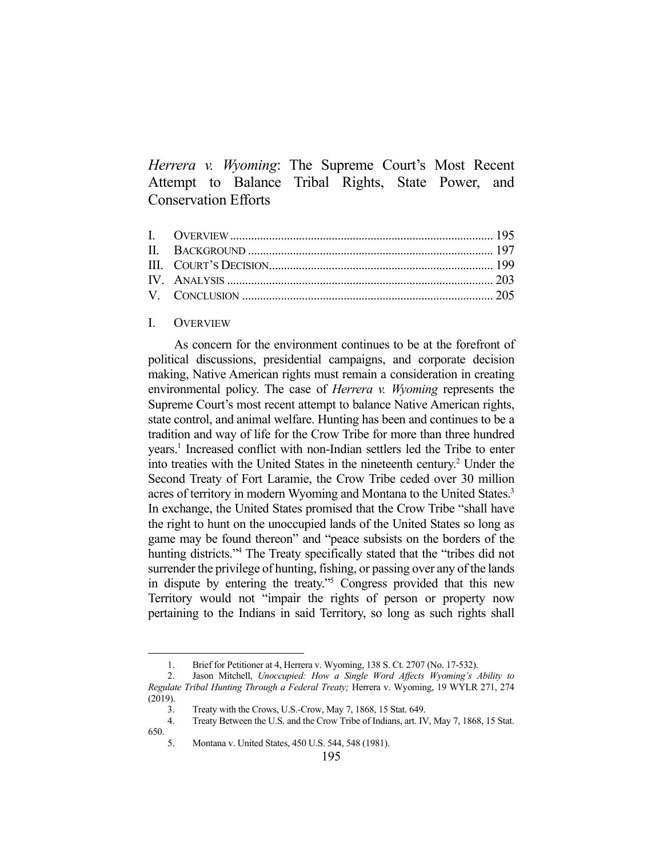*Herrera v. Wyoming*: The Supreme Court's Most Recent Attempt to Balance Tribal Rights, State Power, and Conservation Efforts

## I. OVERVIEW

 As concern for the environment continues to be at the forefront of political discussions, presidential campaigns, and corporate decision making, Native American rights must remain a consideration in creating environmental policy. The case of *Herrera v. Wyoming* represents the Supreme Court's most recent attempt to balance Native American rights, state control, and animal welfare. Hunting has been and continues to be a tradition and way of life for the Crow Tribe for more than three hundred years.<sup>1</sup> Increased conflict with non-Indian settlers led the Tribe to enter into treaties with the United States in the nineteenth century.<sup>2</sup> Under the Second Treaty of Fort Laramie, the Crow Tribe ceded over 30 million acres of territory in modern Wyoming and Montana to the United States.<sup>3</sup> In exchange, the United States promised that the Crow Tribe "shall have the right to hunt on the unoccupied lands of the United States so long as game may be found thereon" and "peace subsists on the borders of the hunting districts."<sup>4</sup> The Treaty specifically stated that the "tribes did not surrender the privilege of hunting, fishing, or passing over any of the lands in dispute by entering the treaty."5 Congress provided that this new Territory would not "impair the rights of person or property now pertaining to the Indians in said Territory, so long as such rights shall

 <sup>1.</sup> Brief for Petitioner at 4, Herrera v. Wyoming, 138 S. Ct. 2707 (No. 17-532).

 <sup>2.</sup> Jason Mitchell, *Unoccupied: How a Single Word Affects Wyoming's Ability to Regulate Tribal Hunting Through a Federal Treaty;* Herrera v. Wyoming, 19 WYLR 271, 274 (2019).

 <sup>3.</sup> Treaty with the Crows, U.S.-Crow, May 7, 1868, 15 Stat. 649.

 <sup>4.</sup> Treaty Between the U.S. and the Crow Tribe of Indians, art. IV, May 7, 1868, 15 Stat. 650.

 <sup>5.</sup> Montana v. United States, 450 U.S. 544, 548 (1981).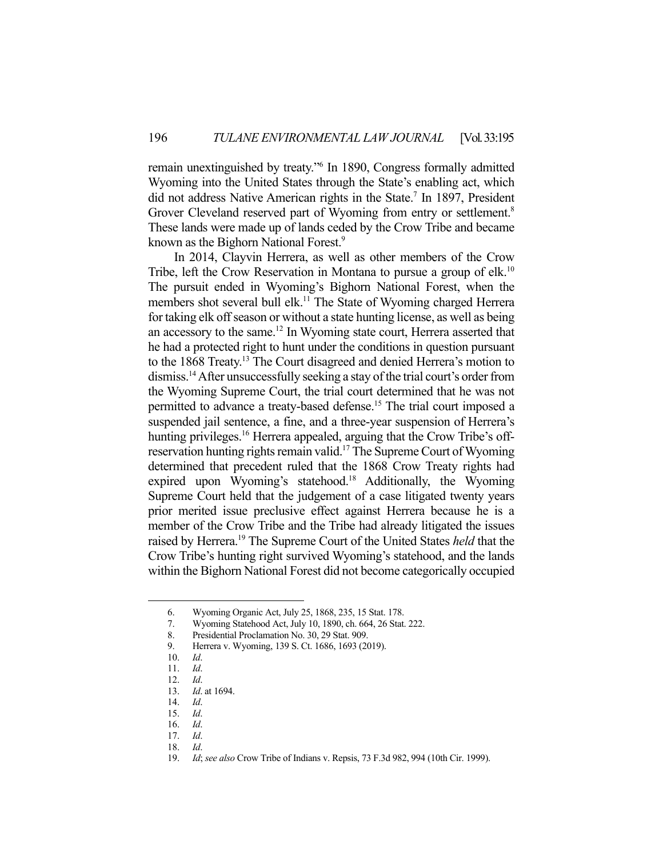remain unextinguished by treaty."6 In 1890, Congress formally admitted Wyoming into the United States through the State's enabling act, which did not address Native American rights in the State.<sup>7</sup> In 1897, President Grover Cleveland reserved part of Wyoming from entry or settlement.<sup>8</sup> These lands were made up of lands ceded by the Crow Tribe and became known as the Bighorn National Forest.<sup>9</sup>

 In 2014, Clayvin Herrera, as well as other members of the Crow Tribe, left the Crow Reservation in Montana to pursue a group of elk.<sup>10</sup> The pursuit ended in Wyoming's Bighorn National Forest, when the members shot several bull elk.<sup>11</sup> The State of Wyoming charged Herrera for taking elk off season or without a state hunting license, as well as being an accessory to the same.12 In Wyoming state court, Herrera asserted that he had a protected right to hunt under the conditions in question pursuant to the 1868 Treaty.<sup>13</sup> The Court disagreed and denied Herrera's motion to dismiss.14 After unsuccessfully seeking a stay of the trial court's order from the Wyoming Supreme Court, the trial court determined that he was not permitted to advance a treaty-based defense.15 The trial court imposed a suspended jail sentence, a fine, and a three-year suspension of Herrera's hunting privileges.<sup>16</sup> Herrera appealed, arguing that the Crow Tribe's offreservation hunting rights remain valid.<sup>17</sup> The Supreme Court of Wyoming determined that precedent ruled that the 1868 Crow Treaty rights had expired upon Wyoming's statehood.<sup>18</sup> Additionally, the Wyoming Supreme Court held that the judgement of a case litigated twenty years prior merited issue preclusive effect against Herrera because he is a member of the Crow Tribe and the Tribe had already litigated the issues raised by Herrera.19 The Supreme Court of the United States *held* that the Crow Tribe's hunting right survived Wyoming's statehood, and the lands within the Bighorn National Forest did not become categorically occupied

 <sup>6.</sup> Wyoming Organic Act, July 25, 1868, 235, 15 Stat. 178.

 <sup>7.</sup> Wyoming Statehood Act, July 10, 1890, ch. 664, 26 Stat. 222.

 <sup>8.</sup> Presidential Proclamation No. 30, 29 Stat. 909.

 <sup>9.</sup> Herrera v. Wyoming, 139 S. Ct. 1686, 1693 (2019).

 <sup>10.</sup> *Id*.

 <sup>11.</sup> *Id*.

 <sup>12.</sup> *Id*.

 <sup>13.</sup> *Id*. at 1694.

 <sup>14.</sup> *Id*.

 <sup>15.</sup> *Id*.

 <sup>16.</sup> *Id*.

 <sup>17.</sup> *Id*.

 <sup>18.</sup> *Id*.

 <sup>19.</sup> *Id*; *see also* Crow Tribe of Indians v. Repsis, 73 F.3d 982, 994 (10th Cir. 1999).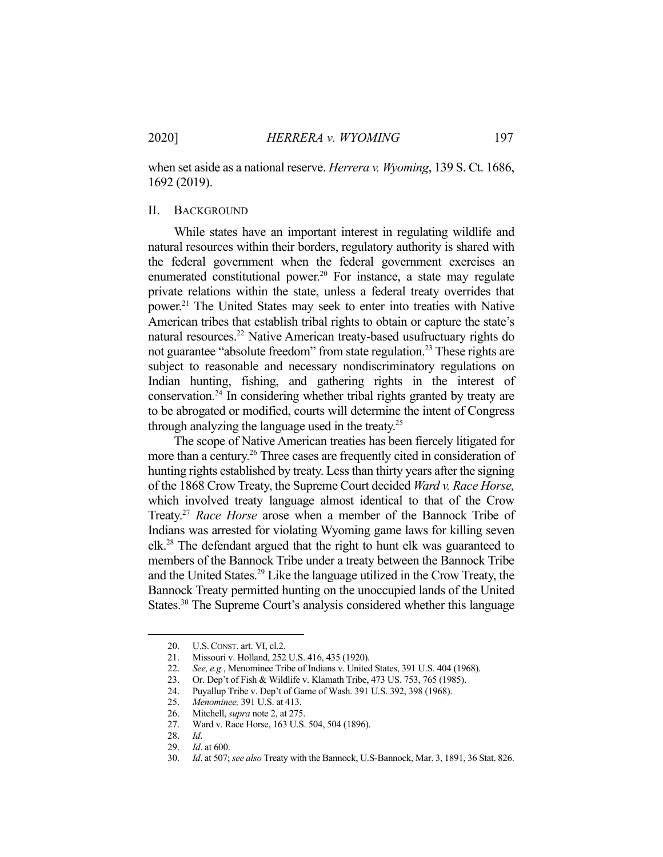when set aside as a national reserve. *Herrera v. Wyoming*, 139 S. Ct. 1686, 1692 (2019).

# II. BACKGROUND

 While states have an important interest in regulating wildlife and natural resources within their borders, regulatory authority is shared with the federal government when the federal government exercises an enumerated constitutional power.<sup>20</sup> For instance, a state may regulate private relations within the state, unless a federal treaty overrides that power.21 The United States may seek to enter into treaties with Native American tribes that establish tribal rights to obtain or capture the state's natural resources.<sup>22</sup> Native American treaty-based usufructuary rights do not guarantee "absolute freedom" from state regulation.<sup>23</sup> These rights are subject to reasonable and necessary nondiscriminatory regulations on Indian hunting, fishing, and gathering rights in the interest of conservation.24 In considering whether tribal rights granted by treaty are to be abrogated or modified, courts will determine the intent of Congress through analyzing the language used in the treaty.25

 The scope of Native American treaties has been fiercely litigated for more than a century.<sup>26</sup> Three cases are frequently cited in consideration of hunting rights established by treaty. Less than thirty years after the signing of the 1868 Crow Treaty, the Supreme Court decided *Ward v. Race Horse,*  which involved treaty language almost identical to that of the Crow Treaty.27 *Race Horse* arose when a member of the Bannock Tribe of Indians was arrested for violating Wyoming game laws for killing seven elk.28 The defendant argued that the right to hunt elk was guaranteed to members of the Bannock Tribe under a treaty between the Bannock Tribe and the United States.29 Like the language utilized in the Crow Treaty, the Bannock Treaty permitted hunting on the unoccupied lands of the United States.<sup>30</sup> The Supreme Court's analysis considered whether this language

<sup>20.</sup> U.S. CONST. art. VI, cl.2.<br>21. Missouri v. Holland, 252 21. Missouri v. Holland, 252 U.S. 416, 435 (1920).

 <sup>22.</sup> *See, e.g.*, Menominee Tribe of Indians v. United States, 391 U.S. 404 (1968).

 <sup>23.</sup> Or. Dep't of Fish & Wildlife v. Klamath Tribe, 473 US. 753, 765 (1985).

 <sup>24.</sup> Puyallup Tribe v. Dep't of Game of Wash. 391 U.S. 392, 398 (1968).

 <sup>25.</sup> *Menominee,* 391 U.S. at 413.

 <sup>26.</sup> Mitchell, *supra* note 2, at 275.

 <sup>27.</sup> Ward v. Race Horse, 163 U.S. 504, 504 (1896).

 <sup>28.</sup> *Id*.

 <sup>29.</sup> *Id*. at 600.

 <sup>30.</sup> *Id*. at 507; *see also* Treaty with the Bannock, U.S-Bannock, Mar. 3, 1891, 36 Stat. 826.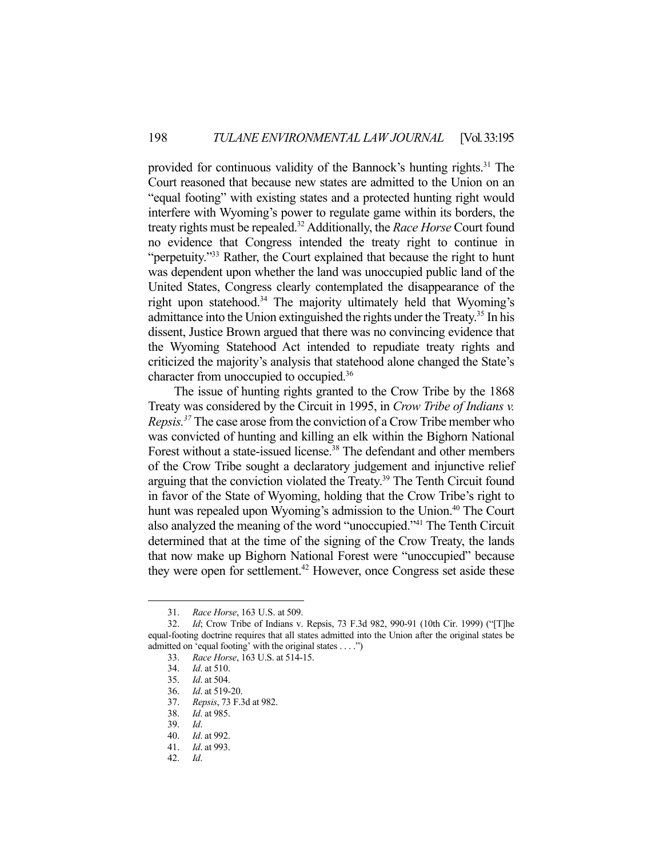provided for continuous validity of the Bannock's hunting rights.<sup>31</sup> The Court reasoned that because new states are admitted to the Union on an "equal footing" with existing states and a protected hunting right would interfere with Wyoming's power to regulate game within its borders, the treaty rights must be repealed.32 Additionally, the *Race Horse* Court found no evidence that Congress intended the treaty right to continue in "perpetuity."33 Rather, the Court explained that because the right to hunt was dependent upon whether the land was unoccupied public land of the United States, Congress clearly contemplated the disappearance of the right upon statehood.<sup>34</sup> The majority ultimately held that Wyoming's admittance into the Union extinguished the rights under the Treaty.<sup>35</sup> In his dissent, Justice Brown argued that there was no convincing evidence that the Wyoming Statehood Act intended to repudiate treaty rights and criticized the majority's analysis that statehood alone changed the State's character from unoccupied to occupied.<sup>36</sup>

 The issue of hunting rights granted to the Crow Tribe by the 1868 Treaty was considered by the Circuit in 1995, in *Crow Tribe of Indians v. Repsis.37* The case arose from the conviction of a Crow Tribe member who was convicted of hunting and killing an elk within the Bighorn National Forest without a state-issued license.<sup>38</sup> The defendant and other members of the Crow Tribe sought a declaratory judgement and injunctive relief arguing that the conviction violated the Treaty.<sup>39</sup> The Tenth Circuit found in favor of the State of Wyoming, holding that the Crow Tribe's right to hunt was repealed upon Wyoming's admission to the Union.<sup>40</sup> The Court also analyzed the meaning of the word "unoccupied."41 The Tenth Circuit determined that at the time of the signing of the Crow Treaty, the lands that now make up Bighorn National Forest were "unoccupied" because they were open for settlement.<sup>42</sup> However, once Congress set aside these

 <sup>31.</sup> *Race Horse*, 163 U.S. at 509.

Id; Crow Tribe of Indians v. Repsis, 73 F.3d 982, 990-91 (10th Cir. 1999) ("[T]he equal-footing doctrine requires that all states admitted into the Union after the original states be admitted on 'equal footing' with the original states . . . .")

 <sup>33.</sup> *Race Horse*, 163 U.S. at 514-15.

 <sup>34.</sup> *Id*. at 510.

 <sup>35.</sup> *Id*. at 504.

 <sup>36.</sup> *Id*. at 519-20.

 <sup>37.</sup> *Repsis*, 73 F.3d at 982.

 <sup>38.</sup> *Id*. at 985.

 <sup>39.</sup> *Id*.

 <sup>40.</sup> *Id*. at 992.

 <sup>41.</sup> *Id*. at 993.

 <sup>42.</sup> *Id*.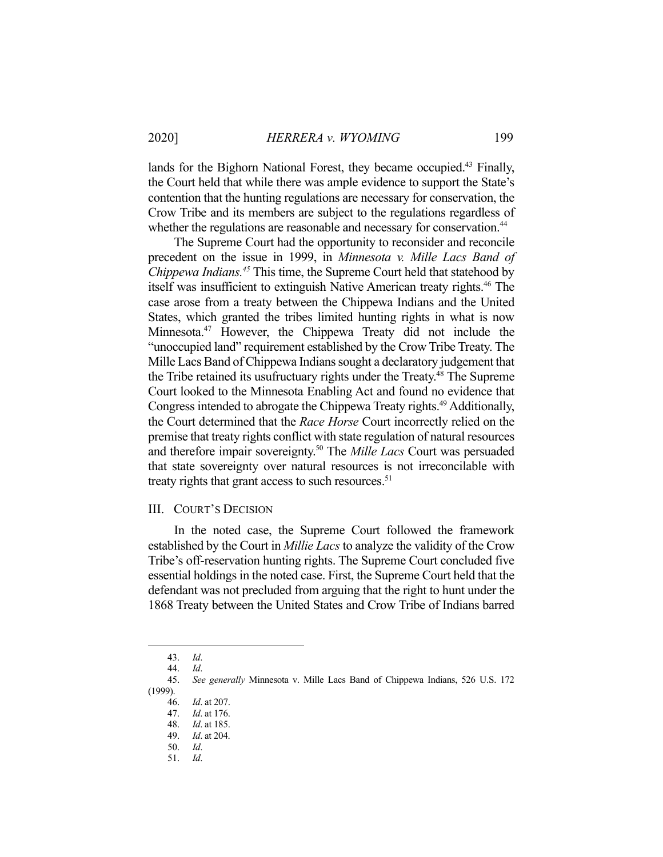lands for the Bighorn National Forest, they became occupied.<sup>43</sup> Finally, the Court held that while there was ample evidence to support the State's contention that the hunting regulations are necessary for conservation, the Crow Tribe and its members are subject to the regulations regardless of whether the regulations are reasonable and necessary for conservation.<sup>44</sup>

 The Supreme Court had the opportunity to reconsider and reconcile precedent on the issue in 1999, in *Minnesota v. Mille Lacs Band of Chippewa Indians.45* This time, the Supreme Court held that statehood by itself was insufficient to extinguish Native American treaty rights.<sup>46</sup> The case arose from a treaty between the Chippewa Indians and the United States, which granted the tribes limited hunting rights in what is now Minnesota.47 However, the Chippewa Treaty did not include the "unoccupied land" requirement established by the Crow Tribe Treaty. The Mille Lacs Band of Chippewa Indians sought a declaratory judgement that the Tribe retained its usufructuary rights under the Treaty.<sup>48</sup> The Supreme Court looked to the Minnesota Enabling Act and found no evidence that Congress intended to abrogate the Chippewa Treaty rights.<sup>49</sup> Additionally, the Court determined that the *Race Horse* Court incorrectly relied on the premise that treaty rights conflict with state regulation of natural resources and therefore impair sovereignty.50 The *Mille Lacs* Court was persuaded that state sovereignty over natural resources is not irreconcilable with treaty rights that grant access to such resources. $51$ 

### III. COURT'S DECISION

 In the noted case, the Supreme Court followed the framework established by the Court in *Millie Lacs* to analyze the validity of the Crow Tribe's off-reservation hunting rights. The Supreme Court concluded five essential holdings in the noted case. First, the Supreme Court held that the defendant was not precluded from arguing that the right to hunt under the 1868 Treaty between the United States and Crow Tribe of Indians barred

 <sup>43.</sup> *Id*.

 <sup>44.</sup> *Id*.

 <sup>45.</sup> *See generally* Minnesota v. Mille Lacs Band of Chippewa Indians, 526 U.S. 172 (1999).

 <sup>46.</sup> *Id*. at 207.

 <sup>47.</sup> *Id*. at 176.

 <sup>48.</sup> *Id*. at 185.

 <sup>49.</sup> *Id*. at 204. 50. *Id*.

 <sup>51.</sup> *Id*.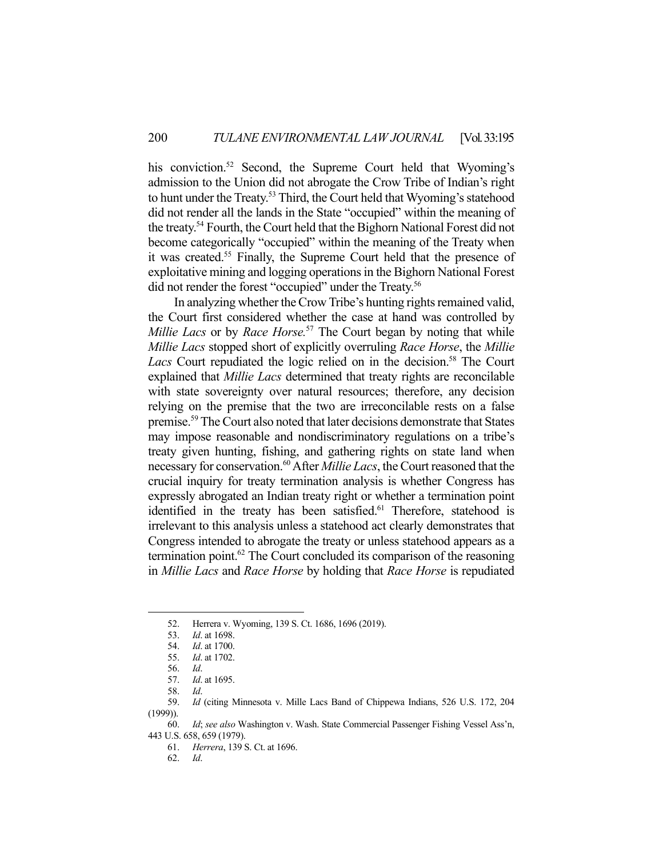his conviction.<sup>52</sup> Second, the Supreme Court held that Wyoming's admission to the Union did not abrogate the Crow Tribe of Indian's right to hunt under the Treaty.<sup>53</sup> Third, the Court held that Wyoming's statehood did not render all the lands in the State "occupied" within the meaning of the treaty.54 Fourth, the Court held that the Bighorn National Forest did not become categorically "occupied" within the meaning of the Treaty when it was created.55 Finally, the Supreme Court held that the presence of exploitative mining and logging operations in the Bighorn National Forest did not render the forest "occupied" under the Treaty.<sup>56</sup>

 In analyzing whether the Crow Tribe's hunting rights remained valid, the Court first considered whether the case at hand was controlled by *Millie Lacs* or by *Race Horse.*<sup>57</sup> The Court began by noting that while *Millie Lacs* stopped short of explicitly overruling *Race Horse*, the *Millie*  Lacs Court repudiated the logic relied on in the decision.<sup>58</sup> The Court explained that *Millie Lacs* determined that treaty rights are reconcilable with state sovereignty over natural resources; therefore, any decision relying on the premise that the two are irreconcilable rests on a false premise.59 The Court also noted that later decisions demonstrate that States may impose reasonable and nondiscriminatory regulations on a tribe's treaty given hunting, fishing, and gathering rights on state land when necessary for conservation.60 After *Millie Lacs*, the Court reasoned that the crucial inquiry for treaty termination analysis is whether Congress has expressly abrogated an Indian treaty right or whether a termination point identified in the treaty has been satisfied.<sup>61</sup> Therefore, statehood is irrelevant to this analysis unless a statehood act clearly demonstrates that Congress intended to abrogate the treaty or unless statehood appears as a termination point.<sup>62</sup> The Court concluded its comparison of the reasoning in *Millie Lacs* and *Race Horse* by holding that *Race Horse* is repudiated

<sup>52.</sup> Herrera v. Wyoming, 139 S. Ct. 1686, 1696 (2019).<br>53. Id. at 1698.

 <sup>53.</sup> *Id*. at 1698.

 <sup>54.</sup> *Id*. at 1700.

 <sup>55.</sup> *Id*. at 1702.

 <sup>56.</sup> *Id*.

 <sup>57.</sup> *Id*. at 1695.

 <sup>58.</sup> *Id*.

 <sup>59.</sup> *Id* (citing Minnesota v. Mille Lacs Band of Chippewa Indians, 526 U.S. 172, 204 (1999)).

 <sup>60.</sup> *Id*; *see also* Washington v. Wash. State Commercial Passenger Fishing Vessel Ass'n, 443 U.S. 658, 659 (1979).

 <sup>61.</sup> *Herrera*, 139 S. Ct. at 1696.

 <sup>62.</sup> *Id*.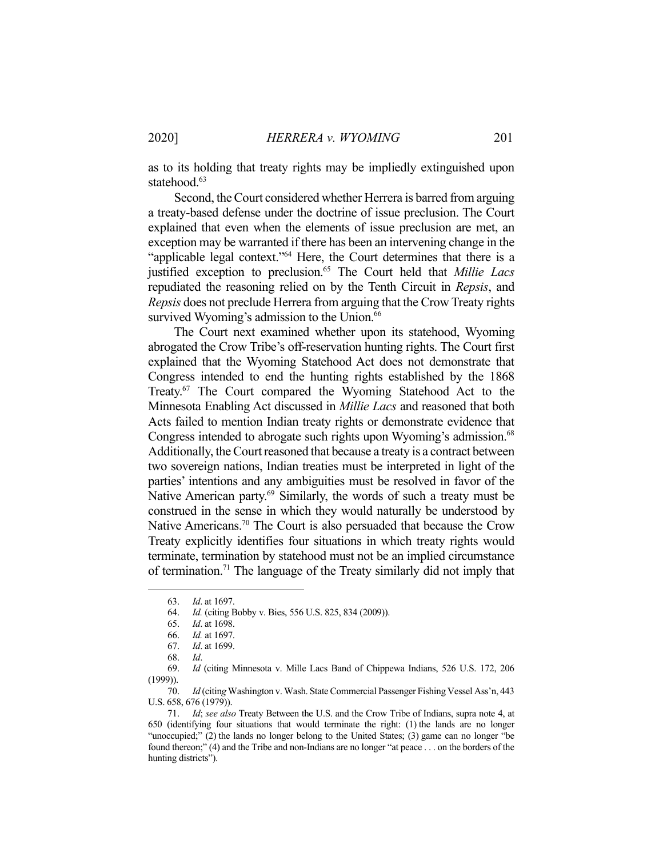as to its holding that treaty rights may be impliedly extinguished upon statehood.<sup>63</sup>

 Second, the Court considered whether Herrera is barred from arguing a treaty-based defense under the doctrine of issue preclusion. The Court explained that even when the elements of issue preclusion are met, an exception may be warranted if there has been an intervening change in the "applicable legal context."<sup>64</sup> Here, the Court determines that there is a justified exception to preclusion.65 The Court held that *Millie Lacs*  repudiated the reasoning relied on by the Tenth Circuit in *Repsis*, and *Repsis* does not preclude Herrera from arguing that the Crow Treaty rights survived Wyoming's admission to the Union.<sup>66</sup>

 The Court next examined whether upon its statehood, Wyoming abrogated the Crow Tribe's off-reservation hunting rights. The Court first explained that the Wyoming Statehood Act does not demonstrate that Congress intended to end the hunting rights established by the 1868 Treaty.<sup>67</sup> The Court compared the Wyoming Statehood Act to the Minnesota Enabling Act discussed in *Millie Lacs* and reasoned that both Acts failed to mention Indian treaty rights or demonstrate evidence that Congress intended to abrogate such rights upon Wyoming's admission.<sup>68</sup> Additionally, the Court reasoned that because a treaty is a contract between two sovereign nations, Indian treaties must be interpreted in light of the parties' intentions and any ambiguities must be resolved in favor of the Native American party.<sup>69</sup> Similarly, the words of such a treaty must be construed in the sense in which they would naturally be understood by Native Americans.<sup>70</sup> The Court is also persuaded that because the Crow Treaty explicitly identifies four situations in which treaty rights would terminate, termination by statehood must not be an implied circumstance of termination.<sup>71</sup> The language of the Treaty similarly did not imply that

 70. *Id* (citin*g* Washington v. Wash. State Commercial Passenger Fishing Vessel Ass'n, 443 U.S. 658, 676 (1979)).

 <sup>63.</sup> *Id*. at 1697.

 <sup>64.</sup> *Id.* (citing Bobby v. Bies, 556 U.S. 825, 834 (2009)).

 <sup>65.</sup> *Id*. at 1698.

 <sup>66.</sup> *Id.* at 1697.

 <sup>67.</sup> *Id*. at 1699.

 <sup>68.</sup> *Id*.

 <sup>69.</sup> *Id* (citing Minnesota v. Mille Lacs Band of Chippewa Indians, 526 U.S. 172, 206 (1999)).

 <sup>71.</sup> *Id*; *see also* Treaty Between the U.S. and the Crow Tribe of Indians, supra note 4, at 650 (identifying four situations that would terminate the right: (1) the lands are no longer "unoccupied;" (2) the lands no longer belong to the United States; (3) game can no longer "be found thereon;" (4) and the Tribe and non-Indians are no longer "at peace . . . on the borders of the hunting districts").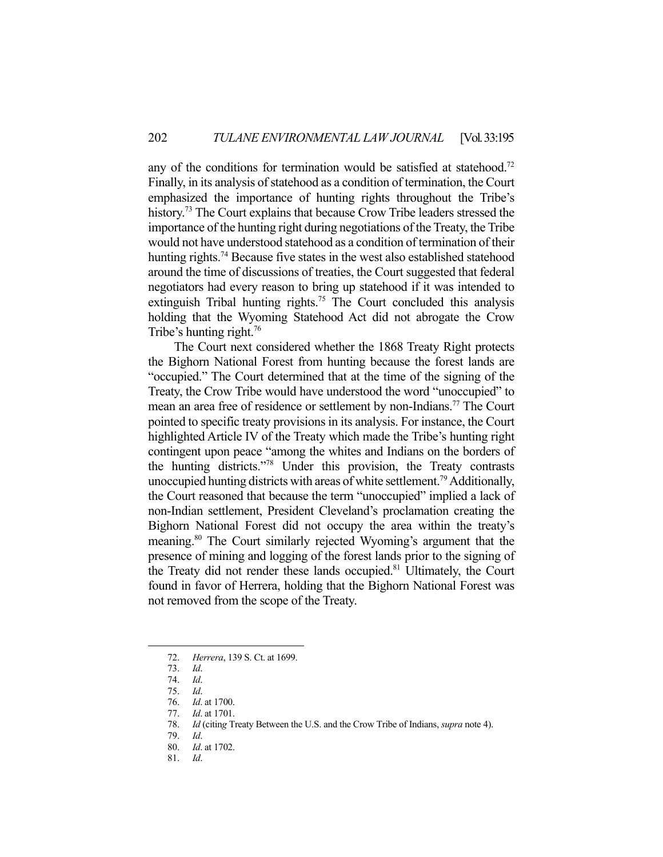any of the conditions for termination would be satisfied at statehood.<sup>72</sup> Finally, in its analysis of statehood as a condition of termination, the Court emphasized the importance of hunting rights throughout the Tribe's history.<sup>73</sup> The Court explains that because Crow Tribe leaders stressed the importance of the hunting right during negotiations of the Treaty, the Tribe would not have understood statehood as a condition of termination of their hunting rights.<sup>74</sup> Because five states in the west also established statehood around the time of discussions of treaties, the Court suggested that federal negotiators had every reason to bring up statehood if it was intended to extinguish Tribal hunting rights.<sup>75</sup> The Court concluded this analysis holding that the Wyoming Statehood Act did not abrogate the Crow Tribe's hunting right.<sup>76</sup>

 The Court next considered whether the 1868 Treaty Right protects the Bighorn National Forest from hunting because the forest lands are "occupied." The Court determined that at the time of the signing of the Treaty, the Crow Tribe would have understood the word "unoccupied" to mean an area free of residence or settlement by non-Indians.77 The Court pointed to specific treaty provisions in its analysis. For instance, the Court highlighted Article IV of the Treaty which made the Tribe's hunting right contingent upon peace "among the whites and Indians on the borders of the hunting districts."78 Under this provision, the Treaty contrasts unoccupied hunting districts with areas of white settlement.<sup>79</sup> Additionally, the Court reasoned that because the term "unoccupied" implied a lack of non-Indian settlement, President Cleveland's proclamation creating the Bighorn National Forest did not occupy the area within the treaty's meaning.80 The Court similarly rejected Wyoming's argument that the presence of mining and logging of the forest lands prior to the signing of the Treaty did not render these lands occupied.<sup>81</sup> Ultimately, the Court found in favor of Herrera, holding that the Bighorn National Forest was not removed from the scope of the Treaty.

 <sup>72.</sup> *Herrera*, 139 S. Ct. at 1699.

 <sup>73.</sup> *Id*.

 <sup>74.</sup> *Id*.

 <sup>75.</sup> *Id*.

 <sup>76.</sup> *Id*. at 1700.

 <sup>77.</sup> *Id*. at 1701.

 <sup>78.</sup> *Id* (citin*g* Treaty Between the U.S. and the Crow Tribe of Indians, *supra* note 4).

 <sup>79.</sup> *Id*.

 <sup>80.</sup> *Id*. at 1702.

 <sup>81.</sup> *Id*.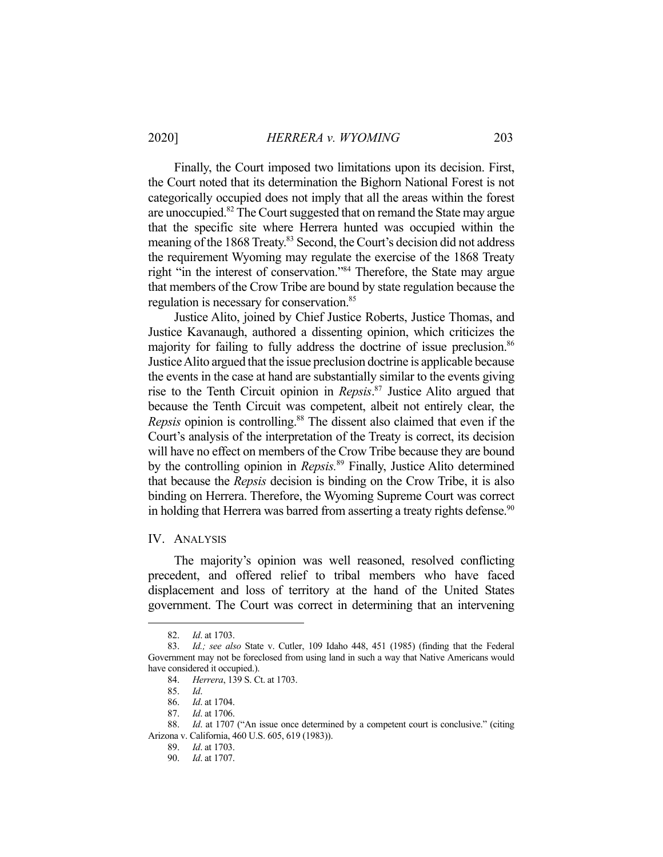Finally, the Court imposed two limitations upon its decision. First, the Court noted that its determination the Bighorn National Forest is not categorically occupied does not imply that all the areas within the forest are unoccupied.<sup>82</sup> The Court suggested that on remand the State may argue that the specific site where Herrera hunted was occupied within the meaning of the 1868 Treaty.<sup>83</sup> Second, the Court's decision did not address the requirement Wyoming may regulate the exercise of the 1868 Treaty right "in the interest of conservation."84 Therefore, the State may argue that members of the Crow Tribe are bound by state regulation because the regulation is necessary for conservation.<sup>85</sup>

 Justice Alito, joined by Chief Justice Roberts, Justice Thomas, and Justice Kavanaugh, authored a dissenting opinion, which criticizes the majority for failing to fully address the doctrine of issue preclusion.<sup>86</sup> Justice Alito argued that the issue preclusion doctrine is applicable because the events in the case at hand are substantially similar to the events giving rise to the Tenth Circuit opinion in *Repsis*. 87 Justice Alito argued that because the Tenth Circuit was competent, albeit not entirely clear, the *Repsis* opinion is controlling.<sup>88</sup> The dissent also claimed that even if the Court's analysis of the interpretation of the Treaty is correct, its decision will have no effect on members of the Crow Tribe because they are bound by the controlling opinion in *Repsis.*89 Finally, Justice Alito determined that because the *Repsis* decision is binding on the Crow Tribe, it is also binding on Herrera. Therefore, the Wyoming Supreme Court was correct in holding that Herrera was barred from asserting a treaty rights defense.<sup>90</sup>

## IV. ANALYSIS

 The majority's opinion was well reasoned, resolved conflicting precedent, and offered relief to tribal members who have faced displacement and loss of territory at the hand of the United States government. The Court was correct in determining that an intervening

 <sup>82.</sup> *Id*. at 1703.

 <sup>83.</sup> *Id.; see also* State v. Cutler, 109 Idaho 448, 451 (1985) (finding that the Federal Government may not be foreclosed from using land in such a way that Native Americans would have considered it occupied.).

 <sup>84.</sup> *Herrera*, 139 S. Ct. at 1703.

 <sup>85.</sup> *Id*.

 <sup>86.</sup> *Id*. at 1704.

 <sup>87.</sup> *Id*. at 1706.

 <sup>88.</sup> *Id*. at 1707 ("An issue once determined by a competent court is conclusive." (citing Arizona v. California, 460 U.S. 605, 619 (1983)).

 <sup>89.</sup> *Id*. at 1703.

 <sup>90.</sup> *Id*. at 1707.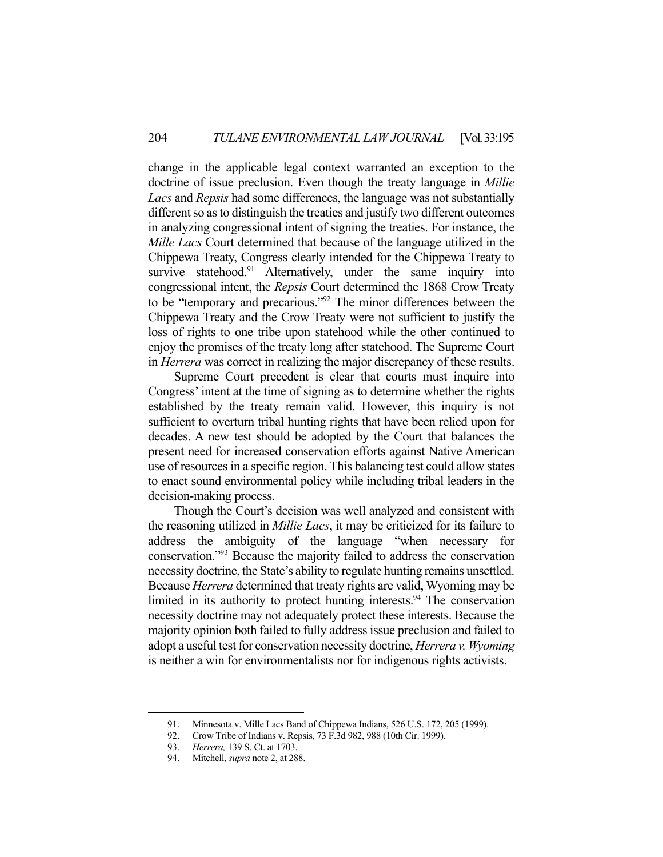change in the applicable legal context warranted an exception to the doctrine of issue preclusion. Even though the treaty language in *Millie Lacs* and *Repsis* had some differences, the language was not substantially different so as to distinguish the treaties and justify two different outcomes in analyzing congressional intent of signing the treaties. For instance, the *Mille Lacs* Court determined that because of the language utilized in the Chippewa Treaty, Congress clearly intended for the Chippewa Treaty to survive statehood.<sup>91</sup> Alternatively, under the same inquiry into congressional intent, the *Repsis* Court determined the 1868 Crow Treaty to be "temporary and precarious."92 The minor differences between the Chippewa Treaty and the Crow Treaty were not sufficient to justify the loss of rights to one tribe upon statehood while the other continued to enjoy the promises of the treaty long after statehood. The Supreme Court in *Herrera* was correct in realizing the major discrepancy of these results.

 Supreme Court precedent is clear that courts must inquire into Congress' intent at the time of signing as to determine whether the rights established by the treaty remain valid. However, this inquiry is not sufficient to overturn tribal hunting rights that have been relied upon for decades. A new test should be adopted by the Court that balances the present need for increased conservation efforts against Native American use of resources in a specific region. This balancing test could allow states to enact sound environmental policy while including tribal leaders in the decision-making process.

 Though the Court's decision was well analyzed and consistent with the reasoning utilized in *Millie Lacs*, it may be criticized for its failure to address the ambiguity of the language "when necessary for conservation."93 Because the majority failed to address the conservation necessity doctrine, the State's ability to regulate hunting remains unsettled. Because *Herrera* determined that treaty rights are valid, Wyoming may be limited in its authority to protect hunting interests. $94$  The conservation necessity doctrine may not adequately protect these interests. Because the majority opinion both failed to fully address issue preclusion and failed to adopt a useful test for conservation necessity doctrine, *Herrera v. Wyoming*  is neither a win for environmentalists nor for indigenous rights activists.

 <sup>91.</sup> Minnesota v. Mille Lacs Band of Chippewa Indians, 526 U.S. 172, 205 (1999).

 <sup>92.</sup> Crow Tribe of Indians v. Repsis, 73 F.3d 982, 988 (10th Cir. 1999).

 <sup>93.</sup> *Herrera,* 139 S. Ct. at 1703.

 <sup>94.</sup> Mitchell, *supra* note 2, at 288.